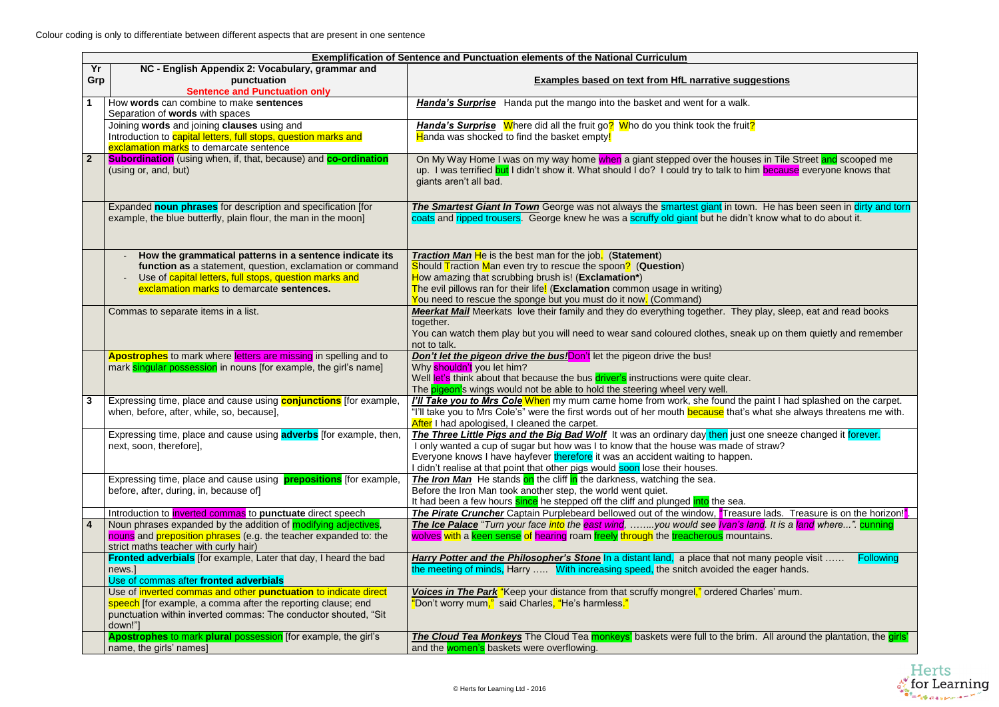Colour coding is only to differentiate between different aspects that are present in one sentence

| <u>estions</u>                                                                |
|-------------------------------------------------------------------------------|
|                                                                               |
|                                                                               |
| s in Tile Street <mark>and</mark> scooped me<br>n because everyone knows that |
| . He has been seen in dirty and torn<br>know what to do about it.             |
|                                                                               |
| play, sleep, eat and read books                                               |
| up on them quietly and remember                                               |
|                                                                               |
| paint I had splashed on the carpet.<br>what she always threatens me with.     |
| ne sneeze changed it forever.<br>straw?                                       |
|                                                                               |
| e lads. Treasure is on the horizon! <mark>"</mark> .                          |
| nd. It is a <mark>land</mark> where". <mark>cunning</mark><br>ains.           |
| any people visit  Following<br>ager hands.                                    |
| arles' mum.                                                                   |
| . All around the plantation, the <i>girls'</i>                                |



| Yr                                                                                                                                                            |                                                           | <b>Exemplification of Sentence and Punctuation elements of the National Curriculum</b>                                                                                                           |
|---------------------------------------------------------------------------------------------------------------------------------------------------------------|-----------------------------------------------------------|--------------------------------------------------------------------------------------------------------------------------------------------------------------------------------------------------|
| NC - English Appendix 2: Vocabulary, grammar and                                                                                                              |                                                           |                                                                                                                                                                                                  |
| Grp<br>punctuation                                                                                                                                            |                                                           | <b>Examples based on text from HfL narrative suggestions</b>                                                                                                                                     |
| <b>Sentence and Punctuation only</b>                                                                                                                          |                                                           |                                                                                                                                                                                                  |
| How words can combine to make sentences                                                                                                                       |                                                           | <b>Handa's Surprise</b> Handa put the mango into the basket and went for a walk.                                                                                                                 |
| Separation of words with spaces<br>Joining words and joining clauses using and                                                                                |                                                           | <b>Handa's Surprise</b> Where did all the fruit go <sup>2</sup> Who do you think took the fruit <sup>2</sup>                                                                                     |
| Introduction to capital letters, full stops, question marks and                                                                                               |                                                           | Handa was shocked to find the basket empty!                                                                                                                                                      |
| exclamation marks to demarcate sentence                                                                                                                       |                                                           |                                                                                                                                                                                                  |
| $\overline{2}$<br><b>Subordination</b> (using when, if, that, because) and <b>co-ordination</b>                                                               |                                                           | On My Way Home I was on my way home when a giant stepped over the houses in Tile Street and scooped me                                                                                           |
| (using or, and, but)                                                                                                                                          |                                                           | up. I was terrified but I didn't show it. What should I do? I could try to talk to him because everyone knows that                                                                               |
|                                                                                                                                                               |                                                           | giants aren't all bad.                                                                                                                                                                           |
|                                                                                                                                                               |                                                           |                                                                                                                                                                                                  |
| Expanded noun phrases for description and specification [for                                                                                                  |                                                           | The Smartest Giant In Town George was not always the smartest giant in town. He has been seen in dirty and torn                                                                                  |
| example, the blue butterfly, plain flour, the man in the moon]                                                                                                |                                                           | coats and ripped trousers. George knew he was a scruffy old giant but he didn't know what to do about it.                                                                                        |
|                                                                                                                                                               |                                                           |                                                                                                                                                                                                  |
|                                                                                                                                                               |                                                           |                                                                                                                                                                                                  |
| How the grammatical patterns in a sentence indicate its                                                                                                       | function as a statement, question, exclamation or command | <b>Traction Man He</b> is the best man for the job. (Statement)<br>Should Traction Man even try to rescue the spoon? (Question)                                                                  |
| Use of capital letters, full stops, question marks and                                                                                                        |                                                           | How amazing that scrubbing brush is! (Exclamation*)                                                                                                                                              |
| exclamation marks to demarcate sentences.                                                                                                                     |                                                           | The evil pillows ran for their life! (Exclamation common usage in writing)                                                                                                                       |
|                                                                                                                                                               |                                                           | You need to rescue the sponge but you must do it now. (Command)                                                                                                                                  |
| Commas to separate items in a list.                                                                                                                           |                                                           | <b>Meerkat Mail</b> Meerkats love their family and they do everything together. They play, sleep, eat and read books                                                                             |
|                                                                                                                                                               |                                                           | together.                                                                                                                                                                                        |
|                                                                                                                                                               |                                                           | You can watch them play but you will need to wear sand coloured clothes, sneak up on them quietly and remember<br>not to talk.                                                                   |
| <b>Apostrophes</b> to mark where letters are missing in spelling and to                                                                                       |                                                           | Don't let the pigeon drive the bus! Don't let the pigeon drive the bus!                                                                                                                          |
| mark singular possession in nouns [for example, the girl's name]                                                                                              |                                                           | Why shouldn't you let him?                                                                                                                                                                       |
|                                                                                                                                                               |                                                           | Well let's think about that because the bus driver's instructions were quite clear.                                                                                                              |
|                                                                                                                                                               |                                                           | The pigeon's wings would not be able to hold the steering wheel very well.                                                                                                                       |
| 3<br>Expressing time, place and cause using <b>conjunctions</b> [for example,                                                                                 |                                                           | I'll Take you to Mrs Cole When my mum came home from work, she found the paint I had splashed on the carpet.                                                                                     |
| when, before, after, while, so, because],                                                                                                                     |                                                           | "I'll take you to Mrs Cole's" were the first words out of her mouth <b>because</b> that's what she always threatens me with.                                                                     |
| Expressing time, place and cause using <b>adverbs</b> for example, then,                                                                                      |                                                           | After I had apologised, I cleaned the carpet.<br>The Three Little Pigs and the Big Bad Wolf It was an ordinary day then just one sneeze changed it forever.                                      |
| next, soon, therefore],                                                                                                                                       |                                                           | I only wanted a cup of sugar but how was I to know that the house was made of straw?                                                                                                             |
|                                                                                                                                                               |                                                           | Everyone knows I have hayfever therefore it was an accident waiting to happen.                                                                                                                   |
|                                                                                                                                                               |                                                           | I didn't realise at that point that other pigs would soon lose their houses.                                                                                                                     |
| Expressing time, place and cause using <b>prepositions</b> [for example,                                                                                      |                                                           | The Iron Man He stands on the cliff in the darkness, watching the sea.                                                                                                                           |
| before, after, during, in, because of]                                                                                                                        |                                                           | Before the Iron Man took another step, the world went quiet.                                                                                                                                     |
|                                                                                                                                                               |                                                           | It had been a few hours since he stepped off the cliff and plunged into the sea.                                                                                                                 |
| Introduction to <i>inverted</i> commas to <b>punctuate</b> direct speech                                                                                      |                                                           | The Pirate Cruncher Captain Purplebeard bellowed out of the window, "Treasure lads. Treasure is on the horizon!".                                                                                |
| Noun phrases expanded by the addition of modifying adjectives,<br>$\overline{\mathbf{4}}$<br>nouns and preposition phrases (e.g. the teacher expanded to: the |                                                           | The Ice Palace "Turn your face into the east wind, you would see Ivan's land. It is a land where". cunning<br>wolves with a keen sense of hearing roam freely through the treacherous mountains. |
| strict maths teacher with curly hair)                                                                                                                         |                                                           |                                                                                                                                                                                                  |
| Fronted adverbials [for example, Later that day, I heard the bad                                                                                              |                                                           | Harry Potter and the Philosopher's Stone In a distant land, a place that not many people visit<br><b>Following</b>                                                                               |
| news.]                                                                                                                                                        |                                                           | the meeting of minds, Harry  With increasing speed, the snitch avoided the eager hands.                                                                                                          |
| Use of commas after fronted adverbials                                                                                                                        |                                                           |                                                                                                                                                                                                  |
| Use of inverted commas and other punctuation to indicate direct                                                                                               |                                                           | Voices in The Park "Keep your distance from that scruffy mongrel," ordered Charles' mum.                                                                                                         |
| speech [for example, a comma after the reporting clause; end                                                                                                  |                                                           | "Don't worry mum," said Charles, "He's harmless."                                                                                                                                                |
| punctuation within inverted commas: The conductor shouted, "Sit<br>down!"]                                                                                    |                                                           |                                                                                                                                                                                                  |
| Apostrophes to mark plural possession [for example, the girl's                                                                                                |                                                           | The Cloud Tea Monkeys The Cloud Tea monkeys' baskets were full to the brim. All around the plantation, the girls'                                                                                |
| name, the girls' names]                                                                                                                                       |                                                           | and the <b>women's</b> baskets were overflowing.                                                                                                                                                 |